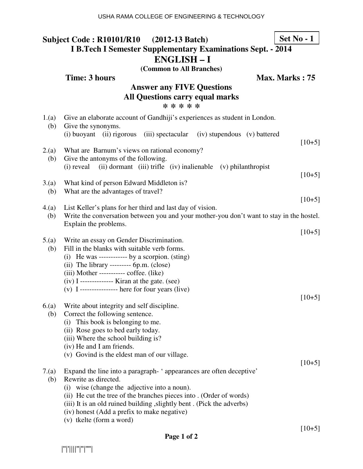#### **Subject Code : R10101/R10 (2012-13 Batch) I B.Tech I Semester Supplementary Examinations Sept. - 2014 ENGLISH – I Set No - 1**

**(Common to All Branches)**

|                                                                                         | Time: 3 hours<br>Max. Marks: 75                                                                                                                                                                                                                                                                                                                      |          |  |  |
|-----------------------------------------------------------------------------------------|------------------------------------------------------------------------------------------------------------------------------------------------------------------------------------------------------------------------------------------------------------------------------------------------------------------------------------------------------|----------|--|--|
| <b>Answer any FIVE Questions</b><br><b>All Questions carry equal marks</b><br>* * * * * |                                                                                                                                                                                                                                                                                                                                                      |          |  |  |
| 1.(a)                                                                                   | Give an elaborate account of Gandhiji's experiences as student in London.                                                                                                                                                                                                                                                                            |          |  |  |
| (b)                                                                                     | Give the synonyms.<br>(i) buoyant<br>(ii) rigorous<br>(iii) spectacular (iv) stupendous (v) battered                                                                                                                                                                                                                                                 |          |  |  |
| 2.(a)<br>(b)                                                                            | What are Barnum's views on rational economy?<br>Give the antonyms of the following.                                                                                                                                                                                                                                                                  | $[10+5]$ |  |  |
|                                                                                         | (ii) dormant (iii) trifle (iv) inalienable<br>(i) reveal<br>(v) philanthropist                                                                                                                                                                                                                                                                       | $[10+5]$ |  |  |
| 3(a)<br>(b)                                                                             | What kind of person Edward Middleton is?<br>What are the advantages of travel?                                                                                                                                                                                                                                                                       |          |  |  |
| 4(a)                                                                                    | List Keller's plans for her third and last day of vision.                                                                                                                                                                                                                                                                                            | $[10+5]$ |  |  |
| (b)                                                                                     | Write the conversation between you and your mother-you don't want to stay in the hostel.<br>Explain the problems.                                                                                                                                                                                                                                    |          |  |  |
|                                                                                         |                                                                                                                                                                                                                                                                                                                                                      | $[10+5]$ |  |  |
| 5.(a)<br>(b)                                                                            | Write an essay on Gender Discrimination.<br>Fill in the blanks with suitable verb forms.<br>(i) He was ------------ by a scorpion. $(sting)$<br>$(ii)$ The library --------- 6p.m. $(close)$<br>$(iii)$ Mother ----------- coffee. $(iike)$<br>$(iv)$ I ------------- Kiran at the gate. (see)<br>$(v)$ I --------------- here for four years (live) | $[10+5]$ |  |  |
| 6(a)                                                                                    | Write about integrity and self discipline.                                                                                                                                                                                                                                                                                                           |          |  |  |
| (b)                                                                                     | Correct the following sentence.<br>(i) This book is belonging to me.<br>(ii) Rose goes to bed early today.<br>(iii) Where the school building is?<br>(iv) He and I am friends.                                                                                                                                                                       |          |  |  |
|                                                                                         | (v) Govind is the eldest man of our village.                                                                                                                                                                                                                                                                                                         |          |  |  |
| 7.(a)<br>(b)                                                                            | Expand the line into a paragraph-'appearances are often deceptive'<br>Rewrite as directed.<br>wise (change the adjective into a noun).<br>(i)<br>(ii) He cut the tree of the branches pieces into . (Order of words)<br>(iii) It is an old ruined building, slightly bent. (Pick the adverbs)                                                        | $[10+5]$ |  |  |
|                                                                                         | (iv) honest (Add a prefix to make negative)<br>(v) tkelte (form a word)                                                                                                                                                                                                                                                                              |          |  |  |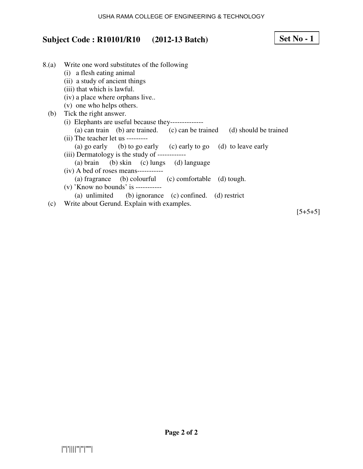#### USHA RAMA COLLEGE OF ENGINEERING & TECHNOLOGY

# **Subject Code : R10101/R10 (2012-13 Batch)**

| 8.(a) | Write one word substitutes of the following                             |
|-------|-------------------------------------------------------------------------|
|       | (i) a flesh eating animal                                               |
|       | (ii) a study of ancient things                                          |
|       | (iii) that which is lawful.                                             |
|       | (iv) a place where orphans live                                         |
|       | (v) one who helps others.                                               |
| (b)   | Tick the right answer.                                                  |
|       | (i) Elephants are useful because they---------------                    |
|       | (a) can train (b) are trained. (c) can be trained (d) should be trained |
|       | $(ii)$ The teacher let us ---------                                     |
|       | (a) go early (b) to go early (c) early to go (d) to leave early         |
|       | (iii) Dermatology is the study of ------------                          |
|       | (a) brain (b) skin (c) lungs (d) language                               |
|       | $(iv)$ A bed of roses means-----------                                  |
|       | (a) fragrance (b) colourful (c) comfortable (d) tough.                  |
|       | $(v)$ 'Know no bounds' is -----------                                   |
|       | (a) unlimited (b) ignorance (c) confined. (d) restrict                  |
| (c)   | Write about Gerund. Explain with examples.                              |

 $[5+5+5]$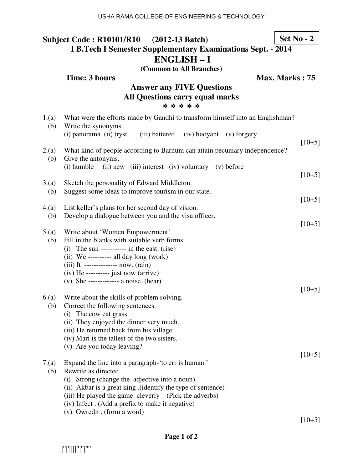## **Subject Code : R10101/R10 (2012-13 Batch) I B.Tech I Semester Supplementary Examinations Sept. - 2014 ENGLISH – I**

**(Common to All Branches) Time: 3 hours Max. Marks : 75** 

**Answer any FIVE Questions** 

| <b>All Questions carry equal marks</b><br>* * * * * |                                                                                                                                                                                                                                                                                                                                            |          |  |
|-----------------------------------------------------|--------------------------------------------------------------------------------------------------------------------------------------------------------------------------------------------------------------------------------------------------------------------------------------------------------------------------------------------|----------|--|
| 1.(a)<br>(b)                                        | What were the efforts made by Gandhi to transform himself into an Englishman?<br>Write the synonyms.<br>(i) panorama (ii) tryst<br>(iii) battered (iv) buoyant (v) forgery                                                                                                                                                                 |          |  |
| 2(a)                                                | What kind of people according to Barnum can attain pecuniary independence?                                                                                                                                                                                                                                                                 | $[10+5]$ |  |
| (b)                                                 | Give the antonyms.<br>(i) humble<br>(ii) new (iii) interest (iv) voluntary (v) before                                                                                                                                                                                                                                                      | $[10+5]$ |  |
| 3(a)<br>(b)                                         | Sketch the personality of Edward Middleton.<br>Suggest some ideas to improve tourism in our state.                                                                                                                                                                                                                                         |          |  |
| 4.(a)<br>(b)                                        | List keller's plans for her second day of vision.<br>Develop a dialogue between you and the visa officer.                                                                                                                                                                                                                                  | $[10+5]$ |  |
| 5(a)<br>(b)                                         | Write about 'Women Empowerment'<br>Fill in the blanks with suitable verb forms.<br>$(i)$ The sun ----------- in the east. (rise)<br>$(ii)$ We ---------- all day long (work)                                                                                                                                                               | $[10+5]$ |  |
|                                                     | (iii) It -------------- now. $(rain)$<br>$(iv)$ He --------- just now (arrive)<br>(v) She ------------- a noise. (hear)                                                                                                                                                                                                                    | $[10+5]$ |  |
| 6(a)<br>(b)                                         | Write about the skills of problem solving.<br>Correct the following sentences.<br>(i) The cow eat grass.<br>(ii) They enjoyed the dinner very much.<br>(iii) He returned back from his village.<br>(iv) Mari is the tallest of the two sisters.<br>(v) Are you today leaving?                                                              |          |  |
| 7(a)<br>(b)                                         | Expand the line into a paragraph-'to err is human.'<br>Rewrite as directed.<br>Strong (change the adjective into a noun).<br>(i)<br>(ii) Akbar is a great king . (identify the type of sentence)<br>(iii) He played the game cleverly . (Pick the adverbs)<br>(iv) Infect. (Add a prefix to make it negative)<br>(v) Owredn. (form a word) | $[10+5]$ |  |
|                                                     |                                                                                                                                                                                                                                                                                                                                            | $[10+5]$ |  |

**Set No - 2**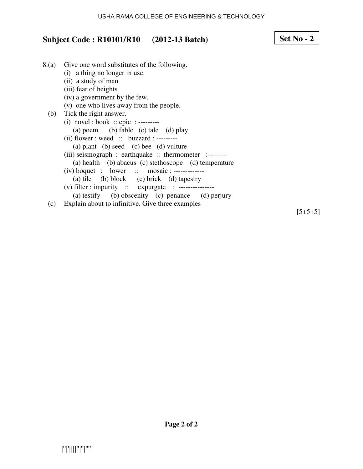#### USHA RAMA COLLEGE OF ENGINEERING & TECHNOLOGY

# **Subject Code : R10101/R10 (2012-13 Batch)**

| 8.(a) | Give one word substitutes of the following.            |
|-------|--------------------------------------------------------|
|       | (i) a thing no longer in use.                          |
|       | (ii) a study of man                                    |
|       | (iii) fear of heights                                  |
|       | (iv) a government by the few.                          |
|       | (v) one who lives away from the people.                |
|       | (b) Tick the right answer.                             |
|       | (i) novel : book :: epic : ---------                   |
|       | (a) poem (b) fable (c) tale (d) play                   |
|       | (ii) flower : weed :: buzzard : --------               |
|       | (a) plant (b) seed (c) bee (d) vulture                 |
|       | (iii) seismograph : earthquake :: thermometer :------- |
|       | (a) health (b) abacus (c) stethoscope (d) temperature  |
|       | $(iv)$ boquet : lower : mosaic : -------------         |
|       | (a) tile (b) block (c) brick (d) tapestry              |
|       | (v) filter : impurity :: expurgate : ----------------  |
|       | (a) testify (b) obscenity (c) penance (d) perjury      |
| (c)   | Explain about to infinitive. Give three examples       |

 $[5+5+5]$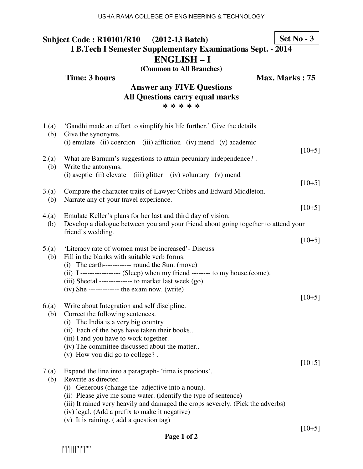#### **Subject Code : R10101/R10 (2012-13 Batch) I B.Tech I Semester Supplementary Examinations Sept. - 2014 ENGLISH – I Set No - 3**

**(Common to All Branches)**

**Time: 3 hours Max. Marks : 75 Answer any FIVE Questions All Questions carry equal marks \* \* \* \* \*** 1.(a) 'Gandhi made an effort to simplify his life further.' Give the details (b) Give the synonyms. (i) emulate (ii) coercion (iii) affliction (iv) mend (v) academic  $[10+5]$ 2.(a) What are Barnum's suggestions to attain pecuniary independence? . (b) Write the antonyms. (i) aseptic (ii) elevate (iii) glitter (iv) voluntary (v) mend  $[10+5]$ 3.(a) Compare the character traits of Lawyer Cribbs and Edward Middleton. (b) Narrate any of your travel experience.  $[10+5]$ 4.(a) Emulate Keller's plans for her last and third day of vision. (b) Develop a dialogue between you and your friend about going together to attend your friend's wedding.  $[10+5]$ 5.(a) 'Literacy rate of women must be increased'- Discuss (b) Fill in the blanks with suitable verb forms. (i) The earth------------ round the Sun. (move) (ii) I ----------------- (Sleep) when my friend -------- to my house.(come). (iii) Sheetal -------------- to market last week (go) (iv) She ------------- the exam now. (write)  $[10+5]$ 6.(a) Write about Integration and self discipline. (b) Correct the following sentences. (i) The India is a very big country (ii) Each of the boys have taken their books.. (iii) I and you have to work together. (iv) The committee discussed about the matter.. (v) How you did go to college? .  $[10+5]$ 7.(a) Expand the line into a paragraph- 'time is precious'. (b) Rewrite as directed (i) Generous (change the adjective into a noun). (ii) Please give me some water. (identify the type of sentence) (iii) It rained very heavily and damaged the crops severely. (Pick the adverbs) (iv) legal. (Add a prefix to make it negative) (v) It is raining. ( add a question tag)

 $[10+5]$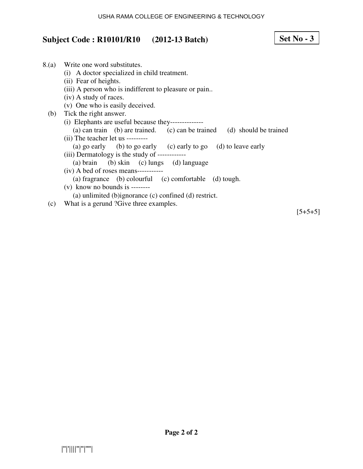## **Subject Code : R10101/R10 (2012-13 Batch)**

### 8.(a) Write one word substitutes. (i) A doctor specialized in child treatment. (ii) Fear of heights. (iii) A person who is indifferent to pleasure or pain.. (iv) A study of races. (v) One who is easily deceived. (b) Tick the right answer. (i) Elephants are useful because they-------------- (a) can train (b) are trained. (c) can be trained (d) should be trained (ii) The teacher let us --------- (a) go early (b) to go early (c) early to go (d) to leave early (iii) Dermatology is the study of ------------ (a) brain (b) skin (c) lungs (d) language (iv) A bed of roses means----------- (a) fragrance (b) colourful (c) comfortable (d) tough. (v) know no bounds is -------- (a) unlimited (b)ignorance (c) confined (d) restrict.

(c) What is a gerund ?Give three examples.

 $[5+5+5]$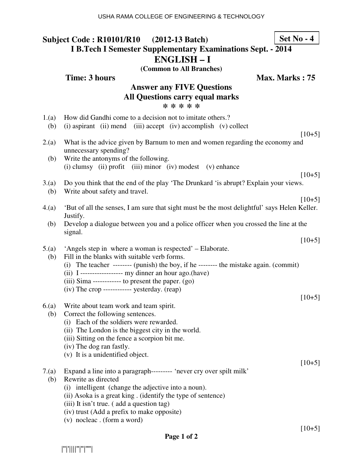#### **Subject Code : R10101/R10 (2012-13 Batch) I B.Tech I Semester Supplementary Examinations Sept. - 2014 ENGLISH – I Set No - 4**

**(Common to All Branches)**

|                                                                                         | <b>Time: 3 hours</b><br>Max. Marks: 75                                                                                                                                                                                                                                                                                                                                                  |  |  |  |
|-----------------------------------------------------------------------------------------|-----------------------------------------------------------------------------------------------------------------------------------------------------------------------------------------------------------------------------------------------------------------------------------------------------------------------------------------------------------------------------------------|--|--|--|
| <b>Answer any FIVE Questions</b><br><b>All Questions carry equal marks</b><br>* * * * * |                                                                                                                                                                                                                                                                                                                                                                                         |  |  |  |
| 1.(a)<br>(b)                                                                            | How did Gandhi come to a decision not to imitate others.?<br>(i) aspirant (ii) mend (iii) accept (iv) accomplish (v) collect<br>$[10+5]$                                                                                                                                                                                                                                                |  |  |  |
| 2(a)<br>(b)                                                                             | What is the advice given by Barnum to men and women regarding the economy and<br>unnecessary spending?<br>Write the antonyms of the following.                                                                                                                                                                                                                                          |  |  |  |
|                                                                                         | (i) clumsy (ii) profit (iii) minor (iv) modest (v) enhance<br>$[10+5]$                                                                                                                                                                                                                                                                                                                  |  |  |  |
| 3(a)<br>(b)                                                                             | Do you think that the end of the play 'The Drunkard 'is abrupt? Explain your views.<br>Write about safety and travel.<br>$[10+5]$                                                                                                                                                                                                                                                       |  |  |  |
| 4(a)                                                                                    | 'But of all the senses, I am sure that sight must be the most delightful' says Helen Keller.<br>Justify.                                                                                                                                                                                                                                                                                |  |  |  |
| (b)                                                                                     | Develop a dialogue between you and a police officer when you crossed the line at the<br>signal.<br>$[10+5]$                                                                                                                                                                                                                                                                             |  |  |  |
| 5.(a)<br>(b)                                                                            | 'Angels step in where a woman is respected' – Elaborate.<br>Fill in the blanks with suitable verb forms.<br>(i) The teacher -------- (punish) the boy, if he -------- the mistake again. (commit)<br>(ii) $I$ ------------------ my dinner an hour ago.(have)<br>$(iii) Sima$ ------------ to present the paper. $(go)$<br>$(iv)$ The crop ------------ yesterday. $(reap)$<br>$[10+5]$ |  |  |  |
| 6(a)<br>(b)                                                                             | Write about team work and team spirit.<br>Correct the following sentences.<br>(i) Each of the soldiers were rewarded.<br>(ii) The London is the biggest city in the world.<br>(iii) Sitting on the fence a scorpion bit me.<br>(iv) The dog ran fastly.<br>(v) It is a unidentified object.                                                                                             |  |  |  |
| 7.(a)<br>(b)                                                                            | $[10+5]$<br>Expand a line into a paragraph--------- 'never cry over spilt milk'<br>Rewrite as directed<br>(i) intelligent (change the adjective into a noun).<br>(ii) Asoka is a great king. (identify the type of sentence)<br>(iii) It isn't true. (add a question tag)<br>(iv) trust (Add a prefix to make opposite)<br>(v) nocleac. (form a word)                                   |  |  |  |

|''|'||||''|''|''''|

[10+5]